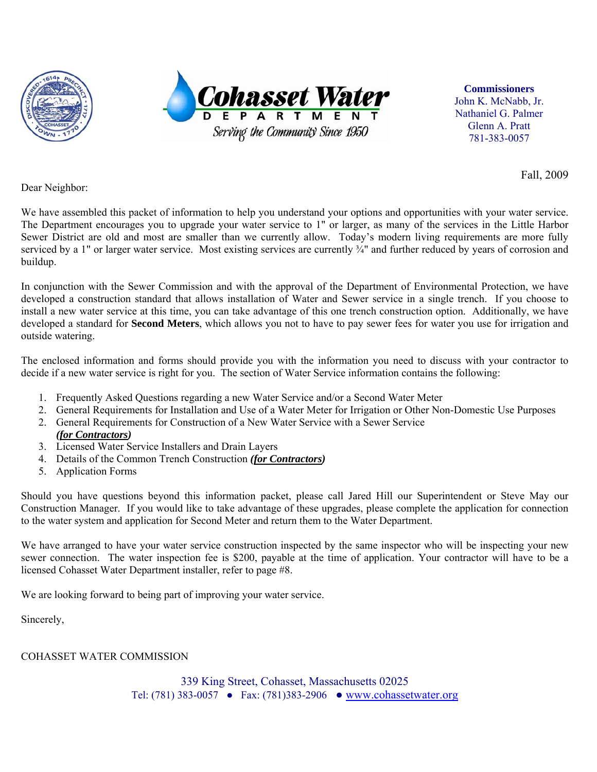



**Commissioners**  John K. McNabb, Jr. Nathaniel G. Palmer Glenn A. Pratt 781-383-0057

Fall, 2009

Dear Neighbor:

We have assembled this packet of information to help you understand your options and opportunities with your water service. The Department encourages you to upgrade your water service to 1" or larger, as many of the services in the Little Harbor Sewer District are old and most are smaller than we currently allow. Today's modern living requirements are more fully serviced by a 1" or larger water service. Most existing services are currently ¼" and further reduced by years of corrosion and buildup.

In conjunction with the Sewer Commission and with the approval of the Department of Environmental Protection, we have developed a construction standard that allows installation of Water and Sewer service in a single trench. If you choose to install a new water service at this time, you can take advantage of this one trench construction option. Additionally, we have developed a standard for **Second Meters**, which allows you not to have to pay sewer fees for water you use for irrigation and outside watering.

The enclosed information and forms should provide you with the information you need to discuss with your contractor to decide if a new water service is right for you. The section of Water Service information contains the following:

- 1. Frequently Asked Questions regarding a new Water Service and/or a Second Water Meter
- 2. General Requirements for Installation and Use of a Water Meter for Irrigation or Other Non-Domestic Use Purposes
- 2. General Requirements for Construction of a New Water Service with a Sewer Service *(for Contractors)*
- 3. Licensed Water Service Installers and Drain Layers
- 4. Details of the Common Trench Construction *(for Contractors)*
- 5. Application Forms

Should you have questions beyond this information packet, please call Jared Hill our Superintendent or Steve May our Construction Manager. If you would like to take advantage of these upgrades, please complete the application for connection to the water system and application for Second Meter and return them to the Water Department.

We have arranged to have your water service construction inspected by the same inspector who will be inspecting your new sewer connection. The water inspection fee is \$200, payable at the time of application. Your contractor will have to be a licensed Cohasset Water Department installer, refer to page #8.

We are looking forward to being part of improving your water service.

Sincerely,

#### COHASSET WATER COMMISSION

339 King Street, Cohasset, Massachusetts 02025 Tel: (781) 383-0057 ● Fax: (781)383-2906 ● www.cohassetwater.org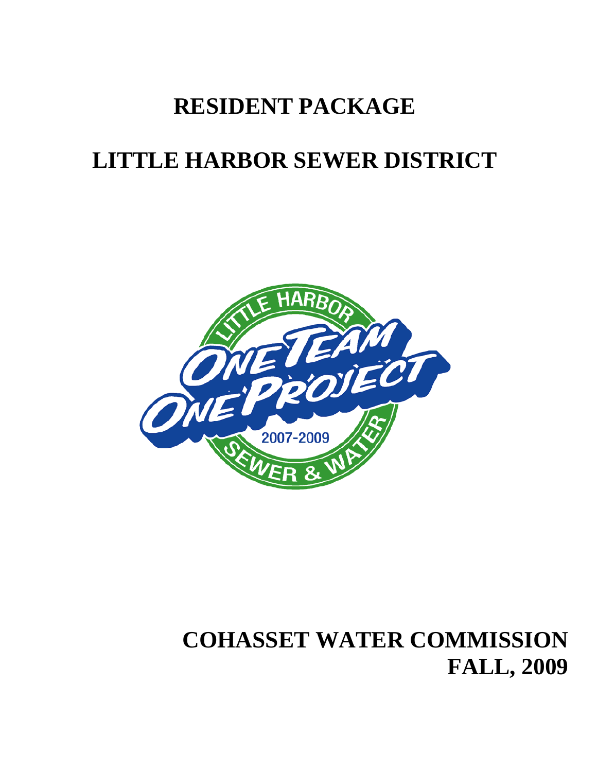# **RESIDENT PACKAGE**

# **LITTLE HARBOR SEWER DISTRICT**



# **COHASSET WATER COMMISSION FALL, 2009**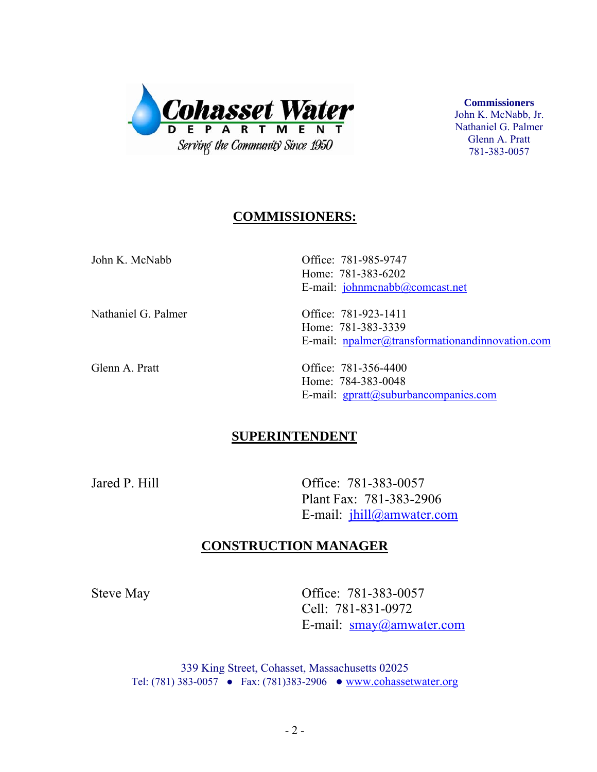

**Commissioners**  John K. McNabb, Jr. Nathaniel G. Palmer Glenn A. Pratt 781-383-0057

## **COMMISSIONERS:**

| John K. McNabb      | Office: 781-985-9747<br>Home: 781-383-6202<br>E-mail: johnmcnabb@comcast.net                      |
|---------------------|---------------------------------------------------------------------------------------------------|
| Nathaniel G. Palmer | Office: 781-923-1411<br>Home: 781-383-3339<br>E-mail: $npalmer@transformation and innovation.com$ |
| Glenn A. Pratt      | Office: 781-356-4400<br>Home: 784-383-0048                                                        |

## **SUPERINTENDENT**

 Jared P. Hill Office: 781-383-0057 Plant Fax: 781-383-2906 E-mail: jhill@amwater.com

E-mail: gpratt@suburbancompanies.com

## **CONSTRUCTION MANAGER**

Steve May **Office:** 781-383-0057 Cell: 781-831-0972 E-mail: smay@amwater.com

> 339 King Street, Cohasset, Massachusetts 02025 Tel: (781) 383-0057 ● Fax: (781)383-2906 ● www.cohassetwater.org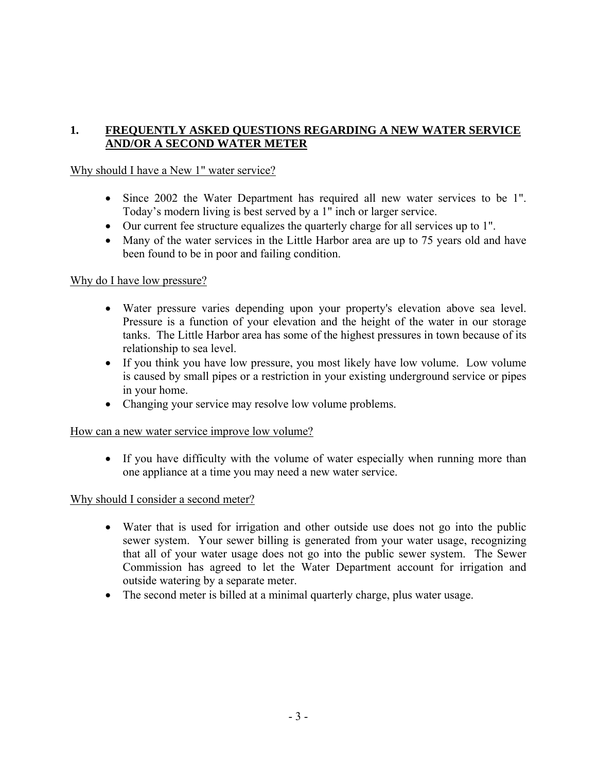### **1. FREQUENTLY ASKED QUESTIONS REGARDING A NEW WATER SERVICE AND/OR A SECOND WATER METER**

#### Why should I have a New 1" water service?

- Since 2002 the Water Department has required all new water services to be 1". Today's modern living is best served by a 1" inch or larger service.
- Our current fee structure equalizes the quarterly charge for all services up to 1".
- Many of the water services in the Little Harbor area are up to 75 years old and have been found to be in poor and failing condition.

#### Why do I have low pressure?

- Water pressure varies depending upon your property's elevation above sea level. Pressure is a function of your elevation and the height of the water in our storage tanks. The Little Harbor area has some of the highest pressures in town because of its relationship to sea level.
- If you think you have low pressure, you most likely have low volume. Low volume is caused by small pipes or a restriction in your existing underground service or pipes in your home.
- Changing your service may resolve low volume problems.

#### How can a new water service improve low volume?

• If you have difficulty with the volume of water especially when running more than one appliance at a time you may need a new water service.

#### Why should I consider a second meter?

- Water that is used for irrigation and other outside use does not go into the public sewer system. Your sewer billing is generated from your water usage, recognizing that all of your water usage does not go into the public sewer system. The Sewer Commission has agreed to let the Water Department account for irrigation and outside watering by a separate meter.
- The second meter is billed at a minimal quarterly charge, plus water usage.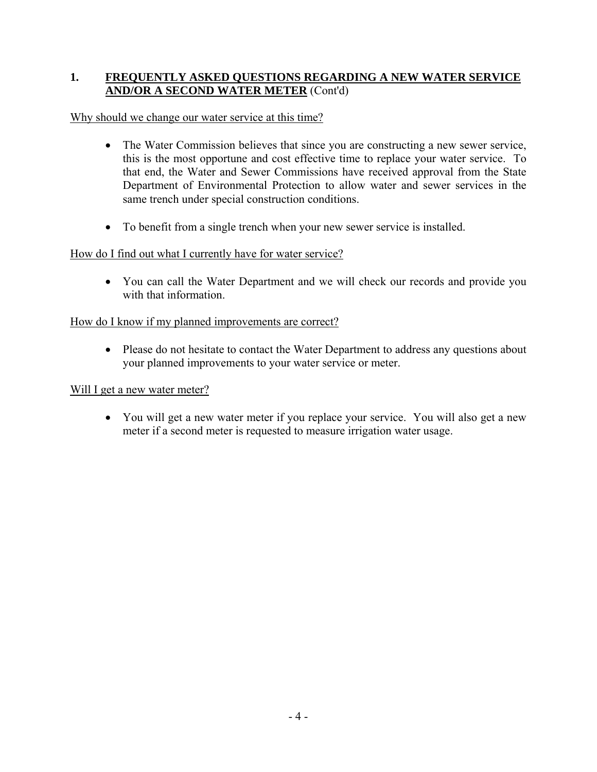#### **1. FREQUENTLY ASKED QUESTIONS REGARDING A NEW WATER SERVICE AND/OR A SECOND WATER METER** (Cont'd)

Why should we change our water service at this time?

- The Water Commission believes that since you are constructing a new sewer service, this is the most opportune and cost effective time to replace your water service. To that end, the Water and Sewer Commissions have received approval from the State Department of Environmental Protection to allow water and sewer services in the same trench under special construction conditions.
- To benefit from a single trench when your new sewer service is installed.

### How do I find out what I currently have for water service?

• You can call the Water Department and we will check our records and provide you with that information.

#### How do I know if my planned improvements are correct?

• Please do not hesitate to contact the Water Department to address any questions about your planned improvements to your water service or meter.

#### Will I get a new water meter?

• You will get a new water meter if you replace your service. You will also get a new meter if a second meter is requested to measure irrigation water usage.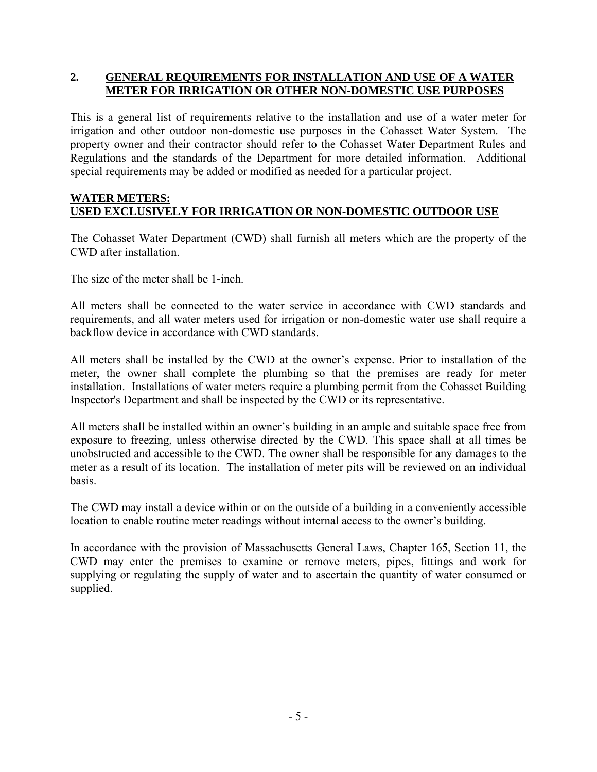#### **2. GENERAL REQUIREMENTS FOR INSTALLATION AND USE OF A WATER METER FOR IRRIGATION OR OTHER NON-DOMESTIC USE PURPOSES**

This is a general list of requirements relative to the installation and use of a water meter for irrigation and other outdoor non-domestic use purposes in the Cohasset Water System. The property owner and their contractor should refer to the Cohasset Water Department Rules and Regulations and the standards of the Department for more detailed information. Additional special requirements may be added or modified as needed for a particular project.

#### **WATER METERS: USED EXCLUSIVELY FOR IRRIGATION OR NON-DOMESTIC OUTDOOR USE**

The Cohasset Water Department (CWD) shall furnish all meters which are the property of the CWD after installation.

The size of the meter shall be 1-inch.

All meters shall be connected to the water service in accordance with CWD standards and requirements, and all water meters used for irrigation or non-domestic water use shall require a backflow device in accordance with CWD standards.

All meters shall be installed by the CWD at the owner's expense. Prior to installation of the meter, the owner shall complete the plumbing so that the premises are ready for meter installation. Installations of water meters require a plumbing permit from the Cohasset Building Inspector's Department and shall be inspected by the CWD or its representative.

All meters shall be installed within an owner's building in an ample and suitable space free from exposure to freezing, unless otherwise directed by the CWD. This space shall at all times be unobstructed and accessible to the CWD. The owner shall be responsible for any damages to the meter as a result of its location. The installation of meter pits will be reviewed on an individual basis.

The CWD may install a device within or on the outside of a building in a conveniently accessible location to enable routine meter readings without internal access to the owner's building.

In accordance with the provision of Massachusetts General Laws, Chapter 165, Section 11, the CWD may enter the premises to examine or remove meters, pipes, fittings and work for supplying or regulating the supply of water and to ascertain the quantity of water consumed or supplied.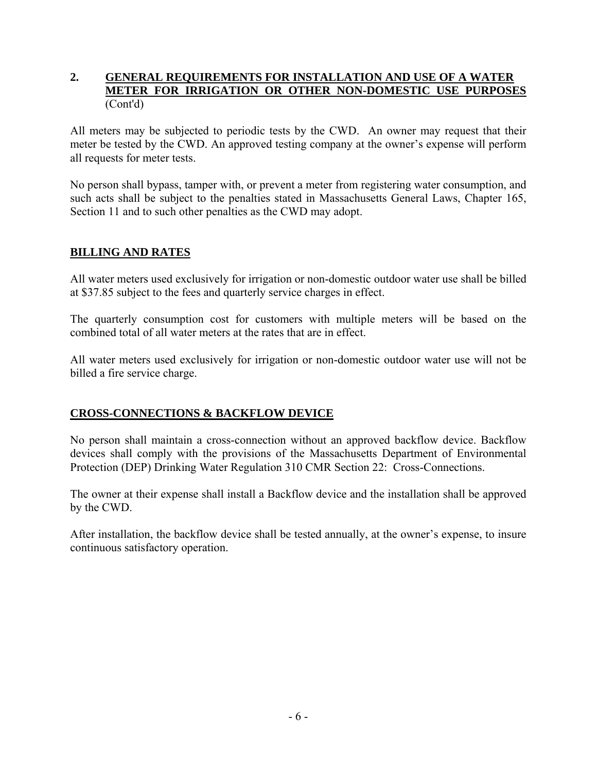#### **2. GENERAL REQUIREMENTS FOR INSTALLATION AND USE OF A WATER METER FOR IRRIGATION OR OTHER NON-DOMESTIC USE PURPOSES**  (Cont'd)

All meters may be subjected to periodic tests by the CWD. An owner may request that their meter be tested by the CWD. An approved testing company at the owner's expense will perform all requests for meter tests.

No person shall bypass, tamper with, or prevent a meter from registering water consumption, and such acts shall be subject to the penalties stated in Massachusetts General Laws, Chapter 165, Section 11 and to such other penalties as the CWD may adopt.

#### **BILLING AND RATES**

All water meters used exclusively for irrigation or non-domestic outdoor water use shall be billed at \$37.85 subject to the fees and quarterly service charges in effect.

The quarterly consumption cost for customers with multiple meters will be based on the combined total of all water meters at the rates that are in effect.

All water meters used exclusively for irrigation or non-domestic outdoor water use will not be billed a fire service charge.

#### **CROSS-CONNECTIONS & BACKFLOW DEVICE**

No person shall maintain a cross-connection without an approved backflow device. Backflow devices shall comply with the provisions of the Massachusetts Department of Environmental Protection (DEP) Drinking Water Regulation 310 CMR Section 22: Cross-Connections.

The owner at their expense shall install a Backflow device and the installation shall be approved by the CWD.

After installation, the backflow device shall be tested annually, at the owner's expense, to insure continuous satisfactory operation.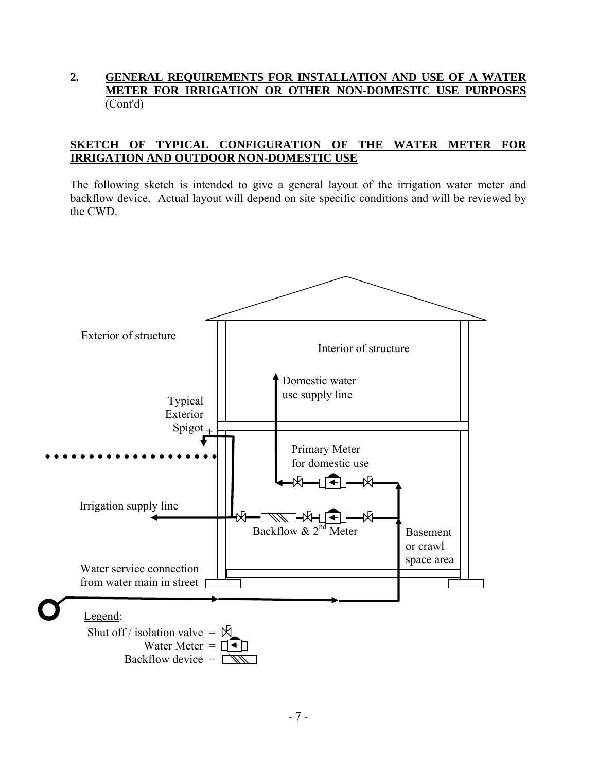#### **2. GENERAL REQUIREMENTS FOR INSTALLATION AND USE OF A WATER METER FOR IRRIGATION OR OTHER NON-DOMESTIC USE PURPOSES**  (Cont'd)

#### **SKETCH OF TYPICAL CONFIGURATION OF THE WATER METER FOR IRRIGATION AND OUTDOOR NON-DOMESTIC USE**

The following sketch is intended to give a general layout of the irrigation water meter and backflow device. Actual layout will depend on site specific conditions and will be reviewed by the CWD.

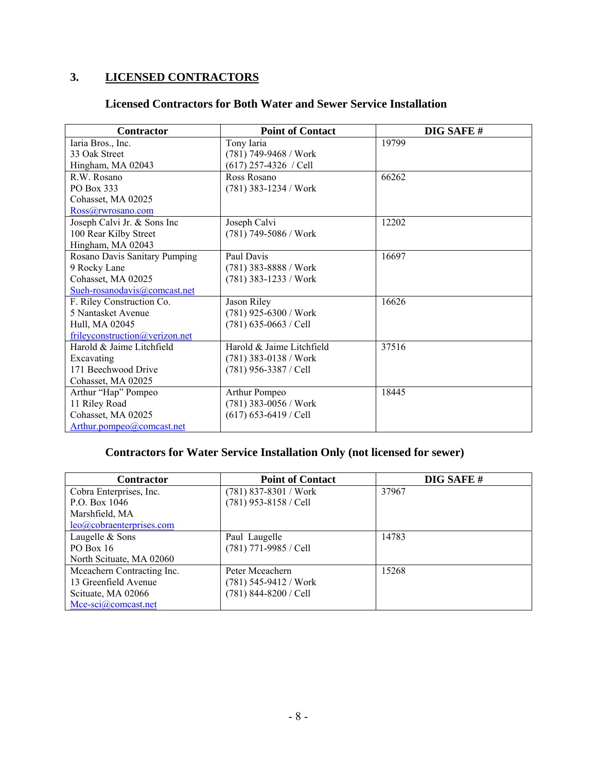# **3. LICENSED CONTRACTORS**

### **Licensed Contractors for Both Water and Sewer Service Installation**

| <b>Contractor</b>              | <b>Point of Contact</b>   | DIG SAFE# |
|--------------------------------|---------------------------|-----------|
| Iaria Bros., Inc.              | Tony Iaria                | 19799     |
| 33 Oak Street                  | (781) 749-9468 / Work     |           |
| Hingham, MA 02043              | $(617)$ 257-4326 / Cell   |           |
| R.W. Rosano                    | Ross Rosano               | 66262     |
| PO Box 333                     | (781) 383-1234 / Work     |           |
| Cohasset, MA 02025             |                           |           |
| Ross@rwrosano.com              |                           |           |
| Joseph Calvi Jr. & Sons Inc    | Joseph Calvi              | 12202     |
| 100 Rear Kilby Street          | (781) 749-5086 / Work     |           |
| Hingham, MA 02043              |                           |           |
| Rosano Davis Sanitary Pumping  | Paul Davis                | 16697     |
| 9 Rocky Lane                   | $(781)$ 383-8888 / Work   |           |
| Cohasset, MA 02025             | (781) 383-1233 / Work     |           |
| Sueh-rosanodavis@comcast.net   |                           |           |
| F. Riley Construction Co.      | Jason Riley               | 16626     |
| 5 Nantasket Avenue             | (781) 925-6300 / Work     |           |
| Hull, MA 02045                 | $(781)$ 635-0663 / Cell   |           |
| frileyconstruction@verizon.net |                           |           |
| Harold & Jaime Litchfield      | Harold & Jaime Litchfield | 37516     |
| Excavating                     | $(781)$ 383-0138 / Work   |           |
| 171 Beechwood Drive            | (781) 956-3387 / Cell     |           |
| Cohasset, MA 02025             |                           |           |
| Arthur "Hap" Pompeo            | Arthur Pompeo             | 18445     |
| 11 Riley Road                  | (781) 383-0056 / Work     |           |
| Cohasset, MA 02025             | $(617)$ 653-6419 / Cell   |           |
| Arthur.pompeo@comcast.net      |                           |           |

# **Contractors for Water Service Installation Only (not licensed for sewer)**

| <b>Contractor</b>          | <b>Point of Contact</b> | DIG SAFE# |
|----------------------------|-------------------------|-----------|
| Cobra Enterprises, Inc.    | $(781)$ 837-8301 / Work | 37967     |
| P.O. Box 1046              | $(781)$ 953-8158 / Cell |           |
| Marshfield, MA             |                         |           |
| leo@cobraenterprises.com   |                         |           |
| Laugelle & Sons            | Paul Laugelle           | 14783     |
| PO Box $16$                | (781) 771-9985 / Cell   |           |
| North Scituate, MA 02060   |                         |           |
| Mceachern Contracting Inc. | Peter Mceachern         | 15268     |
| 13 Greenfield Avenue       | $(781)$ 545-9412 / Work |           |
| Scituate, MA 02066         | (781) 844-8200 / Cell   |           |
| $Mce-sci(2)$ comcast.net   |                         |           |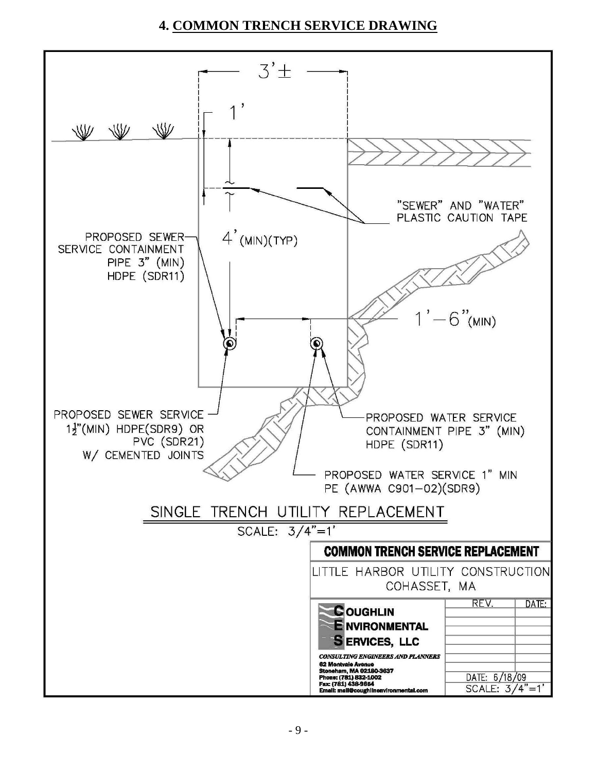# **4. COMMON TRENCH SERVICE DRAWING**

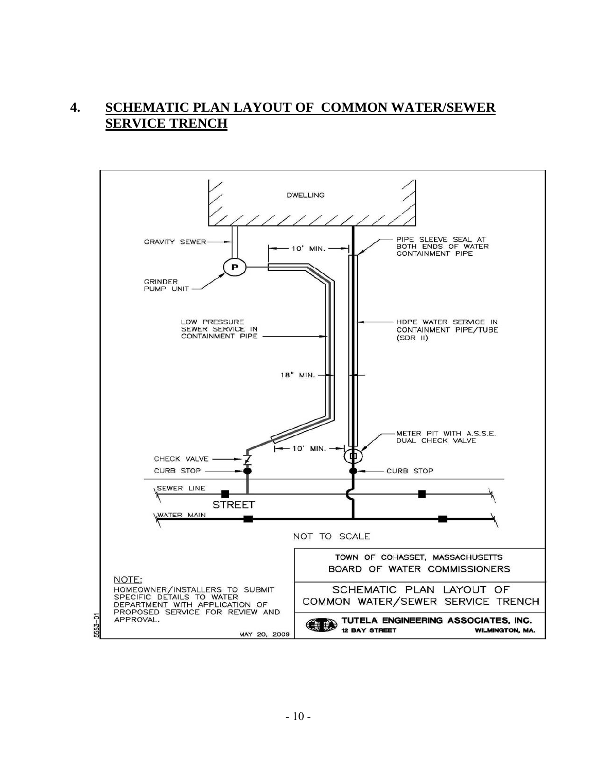## **4. SCHEMATIC PLAN LAYOUT OF COMMON WATER/SEWER SERVICE TRENCH**